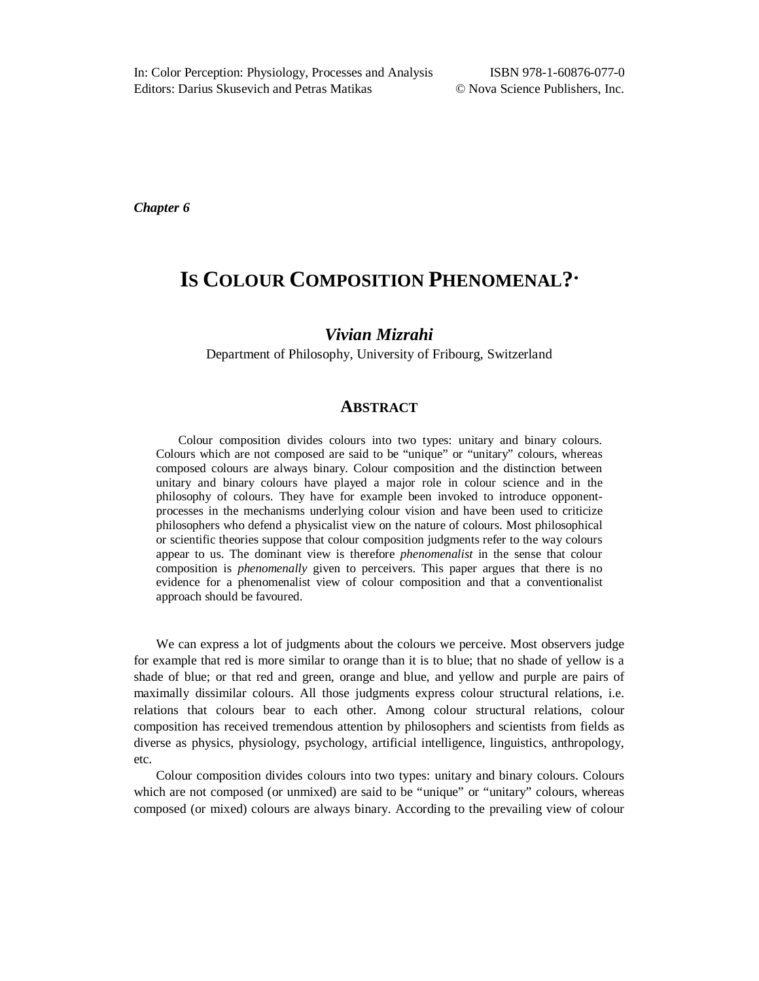*Chapter 6*

# **IS COLOUR COMPOSITION PHENOMENAL?**[∗](#page-0-0)

### *Vivian Mizrahi*

Department of Philosophy, University of Fribourg, Switzerland

#### **ABSTRACT**

Colour composition divides colours into two types: unitary and binary colours. Colours which are not composed are said to be "unique" or "unitary" colours, whereas composed colours are always binary. Colour composition and the distinction between unitary and binary colours have played a major role in colour science and in the philosophy of colours. They have for example been invoked to introduce opponentprocesses in the mechanisms underlying colour vision and have been used to criticize philosophers who defend a physicalist view on the nature of colours. Most philosophical or scientific theories suppose that colour composition judgments refer to the way colours appear to us. The dominant view is therefore *phenomenalist* in the sense that colour composition is *phenomenally* given to perceivers. This paper argues that there is no evidence for a phenomenalist view of colour composition and that a conventionalist approach should be favoured.

We can express a lot of judgments about the colours we perceive. Most observers judge for example that red is more similar to orange than it is to blue; that no shade of yellow is a shade of blue; or that red and green, orange and blue, and yellow and purple are pairs of maximally dissimilar colours. All those judgments express colour structural relations, i.e. relations that colours bear to each other. Among colour structural relations, colour composition has received tremendous attention by philosophers and scientists from fields as diverse as physics, physiology, psychology, artificial intelligence, linguistics, anthropology, etc.

<span id="page-0-1"></span><span id="page-0-0"></span>Colour composition divides colours into two types: unitary and binary colours. Colours which are not composed (or unmixed) are said to be "unique" or "unitary" colours, whereas composed (or mixed) colours are always binary. According to the prevailing view of colour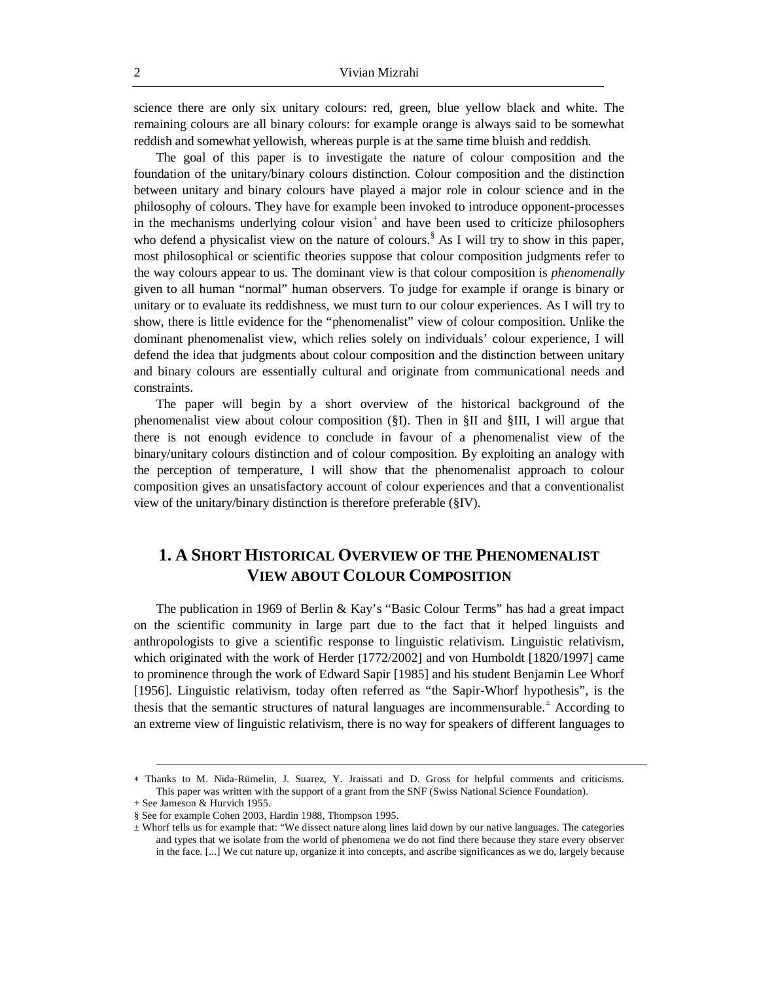science there are only six unitary colours: red, green, blue yellow black and white. The remaining colours are all binary colours: for example orange is always said to be somewhat reddish and somewhat yellowish, whereas purple is at the same time bluish and reddish.

The goal of this paper is to investigate the nature of colour composition and the foundation of the unitary/binary colours distinction. Colour composition and the distinction between unitary and binary colours have played a major role in colour science and in the philosophy of colours. They have for example been invoked to introduce opponent-processes in the mechanisms underlying colour vision<sup>[+](#page-0-1)</sup> and have been used to criticize philosophers who defend a physicalist view on the nature of colours.<sup>[§](#page-1-0)</sup> As I will try to show in this paper, most philosophical or scientific theories suppose that colour composition judgments refer to the way colours appear to us. The dominant view is that colour composition is *phenomenally* given to all human "normal" human observers. To judge for example if orange is binary or unitary or to evaluate its reddishness, we must turn to our colour experiences. As I will try to show, there is little evidence for the "phenomenalist" view of colour composition. Unlike the dominant phenomenalist view, which relies solely on individuals' colour experience, I will defend the idea that judgments about colour composition and the distinction between unitary and binary colours are essentially cultural and originate from communicational needs and constraints.

The paper will begin by a short overview of the historical background of the phenomenalist view about colour composition (§I). Then in §II and §III, I will argue that there is not enough evidence to conclude in favour of a phenomenalist view of the binary/unitary colours distinction and of colour composition. By exploiting an analogy with the perception of temperature, I will show that the phenomenalist approach to colour composition gives an unsatisfactory account of colour experiences and that a conventionalist view of the unitary/binary distinction is therefore preferable (§IV).

# **1. A SHORT HISTORICAL OVERVIEW OF THE PHENOMENALIST VIEW ABOUT COLOUR COMPOSITION**

The publication in 1969 of Berlin & Kay's "Basic Colour Terms" has had a great impact on the scientific community in large part due to the fact that it helped linguists and anthropologists to give a scientific response to linguistic relativism. Linguistic relativism, which originated with the work of Herder [1772/2002] and von Humboldt [1820/1997] came to prominence through the work of Edward Sapir [1985] and his student Benjamin Lee Whorf [1956]. Linguistic relativism, today often referred as "the Sapir-Whorf hypothesis", is the thesis that the semantic structures of natural languages are incommensurable. $\pm$  According to an extreme view of linguistic relativism, there is no way for speakers of different languages to

<span id="page-1-2"></span><sup>∗</sup> Thanks to M. Nida-Rümelin, J. Suarez, Y. Jraissati and D. Gross for helpful comments and criticisms. This paper was written with the support of a grant from the SNF (Swiss National Science Foundation).

<sup>+</sup> See Jameson & Hurvich 1955.

<span id="page-1-1"></span><span id="page-1-0"></span><sup>§</sup> See for example Cohen 2003, Hardin 1988, Thompson 1995.

<sup>±</sup> Whorf tells us for example that: "We dissect nature along lines laid down by our native languages. The categories and types that we isolate from the world of phenomena we do not find there because they stare every observer in the face. [...] We cut nature up, organize it into concepts, and ascribe significances as we do, largely because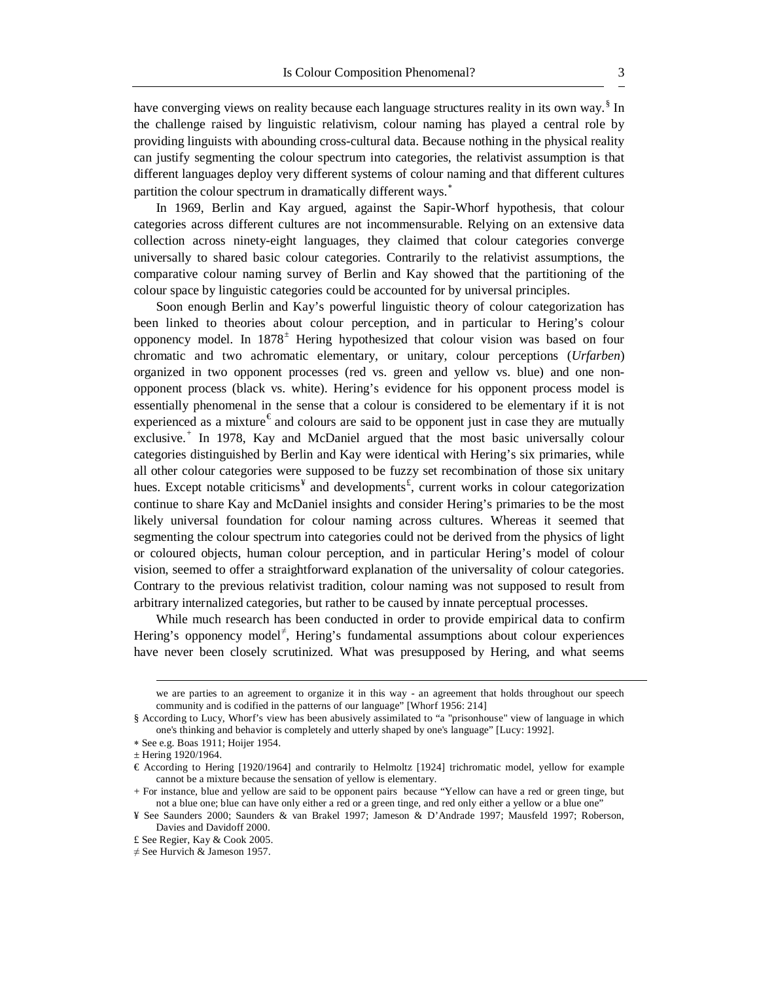have converging views on reality because each language structures reality in its own way.<sup>[§](#page-1-2)</sup> In the challenge raised by linguistic relativism, colour naming has played a central role by providing linguists with abounding cross-cultural data. Because nothing in the physical reality can justify segmenting the colour spectrum into categories, the relativist assumption is that different languages deploy very different systems of colour naming and that different cultures partition the colour spectrum in dramatically different ways.<sup>\*</sup>

In 1969, Berlin and Kay argued, against the Sapir-Whorf hypothesis, that colour categories across different cultures are not incommensurable. Relying on an extensive data collection across ninety-eight languages, they claimed that colour categories converge universally to shared basic colour categories. Contrarily to the relativist assumptions, the comparative colour naming survey of Berlin and Kay showed that the partitioning of the colour space by linguistic categories could be accounted for by universal principles.

Soon enough Berlin and Kay's powerful linguistic theory of colour categorization has been linked to theories about colour perception, and in particular to Hering's colour opponency model. In  $1878<sup>±</sup>$  $1878<sup>±</sup>$  $1878<sup>±</sup>$  $1878<sup>±</sup>$  Hering hypothesized that colour vision was based on four chromatic and two achromatic elementary, or unitary, colour perceptions (*Urfarben*) organized in two opponent processes (red vs. green and yellow vs. blue) and one nonopponent process (black vs. white). Hering's evidence for his opponent process model is essentially phenomenal in the sense that a colour is considered to be elementary if it is not experienced as a mixture  $\epsilon$  and colours are said to be opponent just in case they are mutually exclusive. $<sup>+</sup>$  $<sup>+</sup>$  $<sup>+</sup>$  In 1978, Kay and McDaniel argued that the most basic universally colour</sup> categories distinguished by Berlin and Kay were identical with Hering's six primaries, while all other colour categories were supposed to be fuzzy set recombination of those six unitary hues. Except notable criticisms  $\frac{4}{3}$  and developments<sup>[£](#page-2-5)</sup>, current works in colour categorization continue to share Kay and McDaniel insights and consider Hering's primaries to be the most likely universal foundation for colour naming across cultures. Whereas it seemed that segmenting the colour spectrum into categories could not be derived from the physics of light or coloured objects, human colour perception, and in particular Hering's model of colour vision, seemed to offer a straightforward explanation of the universality of colour categories. Contrary to the previous relativist tradition, colour naming was not supposed to result from arbitrary internalized categories, but rather to be caused by innate perceptual processes.

While much research has been conducted in order to provide empirical data to confirm Hering's opponency model<sup>[≠](#page-2-6)</sup>, Hering's fundamental assumptions about colour experiences have never been closely scrutinized. What was presupposed by Hering, and what seems

we are parties to an agreement to organize it in this way - an agreement that holds throughout our speech community and is codified in the patterns of our language" [Whorf 1956: 214]

<sup>§</sup> According to Lucy, Whorf's view has been abusively assimilated to "a "prisonhouse" view of language in which one's thinking and behavior is completely and utterly shaped by one's language" [Lucy: 1992].

<span id="page-2-0"></span><sup>∗</sup> See e.g. Boas 1911; Hoijer 1954.

<span id="page-2-7"></span><span id="page-2-1"></span><sup>±</sup> Hering 1920/1964.

<span id="page-2-2"></span><sup>€</sup> According to Hering [1920/1964] and contrarily to Helmoltz [1924] trichromatic model, yellow for example cannot be a mixture because the sensation of yellow is elementary.

<span id="page-2-3"></span><sup>+</sup> For instance, blue and yellow are said to be opponent pairs because "Yellow can have a red or green tinge, but not a blue one; blue can have only either a red or a green tinge, and red only either a yellow or a blue one"

<span id="page-2-4"></span><sup>¥</sup> See Saunders 2000; Saunders & van Brakel 1997; Jameson & D'Andrade 1997; Mausfeld 1997; Roberson, Davies and Davidoff 2000.

<span id="page-2-5"></span><sup>£</sup> See Regier, Kay & Cook 2005.

<span id="page-2-6"></span> $\neq$  See Hurvich & Jameson 1957.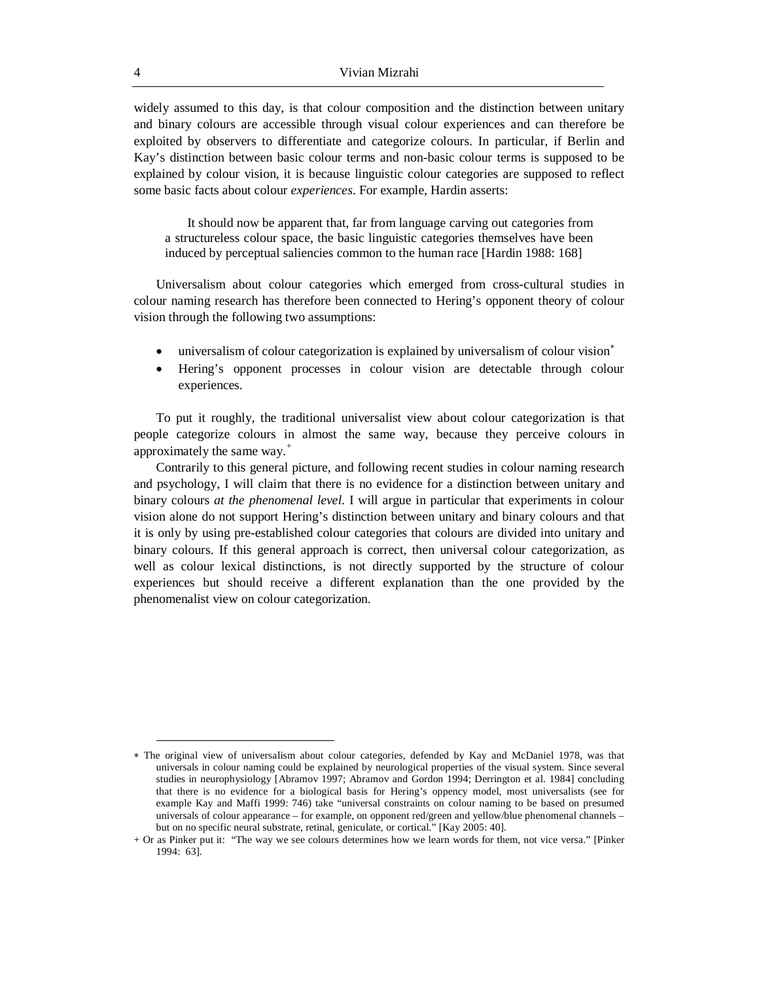widely assumed to this day, is that colour composition and the distinction between unitary and binary colours are accessible through visual colour experiences and can therefore be exploited by observers to differentiate and categorize colours. In particular, if Berlin and Kay's distinction between basic colour terms and non-basic colour terms is supposed to be explained by colour vision, it is because linguistic colour categories are supposed to reflect some basic facts about colour *experiences*. For example, Hardin asserts:

It should now be apparent that, far from language carving out categories from a structureless colour space, the basic linguistic categories themselves have been induced by perceptual saliencies common to the human race [Hardin 1988: 168]

Universalism about colour categories which emerged from cross-cultural studies in colour naming research has therefore been connected to Hering's opponent theory of colour vision through the following two assumptions:

- universalism of colour categorization is explained by universalism of colour vision[∗](#page-2-7)
- Hering's opponent processes in colour vision are detectable through colour experiences.

To put it roughly, the traditional universalist view about colour categorization is that people categorize colours in almost the same way, because they perceive colours in approximately the same way.<sup>[+](#page-3-0)</sup>

Contrarily to this general picture, and following recent studies in colour naming research and psychology, I will claim that there is no evidence for a distinction between unitary and binary colours *at the phenomenal level*. I will argue in particular that experiments in colour vision alone do not support Hering's distinction between unitary and binary colours and that it is only by using pre-established colour categories that colours are divided into unitary and binary colours. If this general approach is correct, then universal colour categorization, as well as colour lexical distinctions, is not directly supported by the structure of colour experiences but should receive a different explanation than the one provided by the phenomenalist view on colour categorization.

<sup>∗</sup> The original view of universalism about colour categories, defended by Kay and McDaniel 1978, was that universals in colour naming could be explained by neurological properties of the visual system. Since several studies in neurophysiology [Abramov 1997; Abramov and Gordon 1994; Derrington et al. 1984] concluding that there is no evidence for a biological basis for Hering's oppency model, most universalists (see for example Kay and Maffi 1999: 746) take "universal constraints on colour naming to be based on presumed universals of colour appearance – for example, on opponent red/green and yellow/blue phenomenal channels – but on no specific neural substrate, retinal, geniculate, or cortical." [Kay 2005: 40].

<span id="page-3-1"></span><span id="page-3-0"></span><sup>+</sup> Or as Pinker put it: "The way we see colours determines how we learn words for them, not vice versa." [Pinker 1994: 63].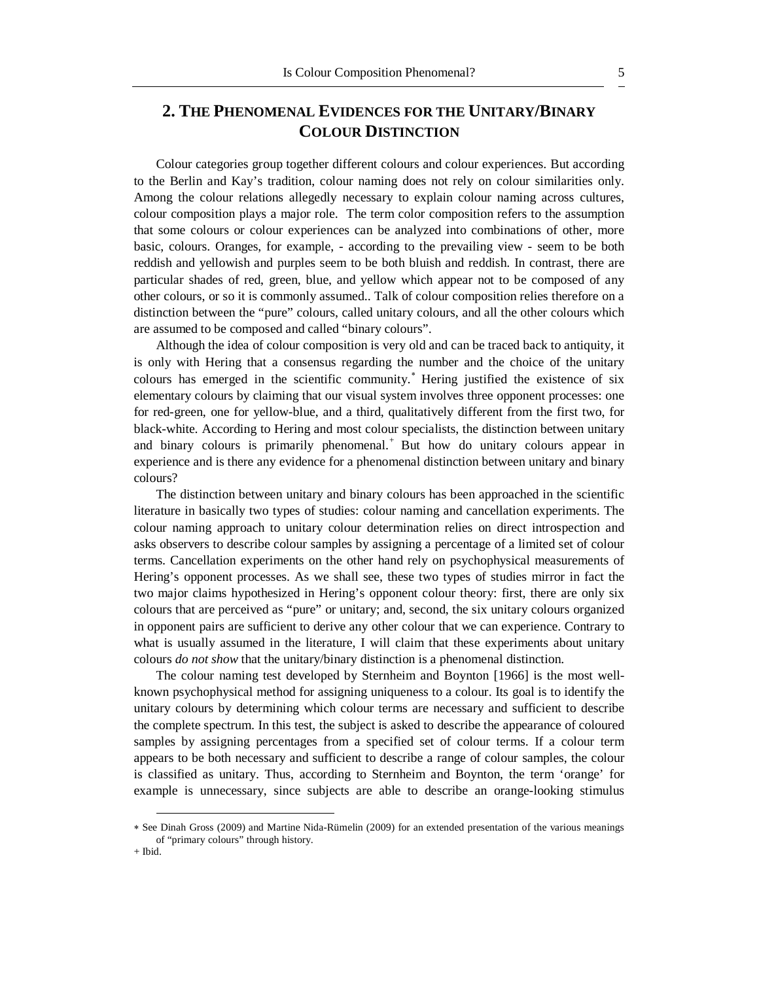# **2. THE PHENOMENAL EVIDENCES FOR THE UNITARY/BINARY COLOUR DISTINCTION**

Colour categories group together different colours and colour experiences. But according to the Berlin and Kay's tradition, colour naming does not rely on colour similarities only. Among the colour relations allegedly necessary to explain colour naming across cultures, colour composition plays a major role. The term color composition refers to the assumption that some colours or colour experiences can be analyzed into combinations of other, more basic, colours. Oranges, for example, - according to the prevailing view - seem to be both reddish and yellowish and purples seem to be both bluish and reddish. In contrast, there are particular shades of red, green, blue, and yellow which appear not to be composed of any other colours, or so it is commonly assumed.. Talk of colour composition relies therefore on a distinction between the "pure" colours, called unitary colours, and all the other colours which are assumed to be composed and called "binary colours".

Although the idea of colour composition is very old and can be traced back to antiquity, it is only with Hering that a consensus regarding the number and the choice of the unitary colours has emerged in the scientific community.<sup>\*</sup> Hering justified the existence of six elementary colours by claiming that our visual system involves three opponent processes: one for red-green, one for yellow-blue, and a third, qualitatively different from the first two, for black-white. According to Hering and most colour specialists, the distinction between unitary and binary colours is primarily phenomenal.<sup>[+](#page-4-0)</sup> But how do unitary colours appear in experience and is there any evidence for a phenomenal distinction between unitary and binary colours?

The distinction between unitary and binary colours has been approached in the scientific literature in basically two types of studies: colour naming and cancellation experiments. The colour naming approach to unitary colour determination relies on direct introspection and asks observers to describe colour samples by assigning a percentage of a limited set of colour terms. Cancellation experiments on the other hand rely on psychophysical measurements of Hering's opponent processes. As we shall see, these two types of studies mirror in fact the two major claims hypothesized in Hering's opponent colour theory: first, there are only six colours that are perceived as "pure" or unitary; and, second, the six unitary colours organized in opponent pairs are sufficient to derive any other colour that we can experience. Contrary to what is usually assumed in the literature, I will claim that these experiments about unitary colours *do not show* that the unitary/binary distinction is a phenomenal distinction.

The colour naming test developed by Sternheim and Boynton [1966] is the most wellknown psychophysical method for assigning uniqueness to a colour. Its goal is to identify the unitary colours by determining which colour terms are necessary and sufficient to describe the complete spectrum. In this test, the subject is asked to describe the appearance of coloured samples by assigning percentages from a specified set of colour terms. If a colour term appears to be both necessary and sufficient to describe a range of colour samples, the colour is classified as unitary. Thus, according to Sternheim and Boynton, the term 'orange' for example is unnecessary, since subjects are able to describe an orange-looking stimulus

<span id="page-4-1"></span><sup>∗</sup> See Dinah Gross (2009) and Martine Nida-Rümelin (2009) for an extended presentation of the various meanings of "primary colours" through history.

<span id="page-4-0"></span><sup>+</sup> Ibid.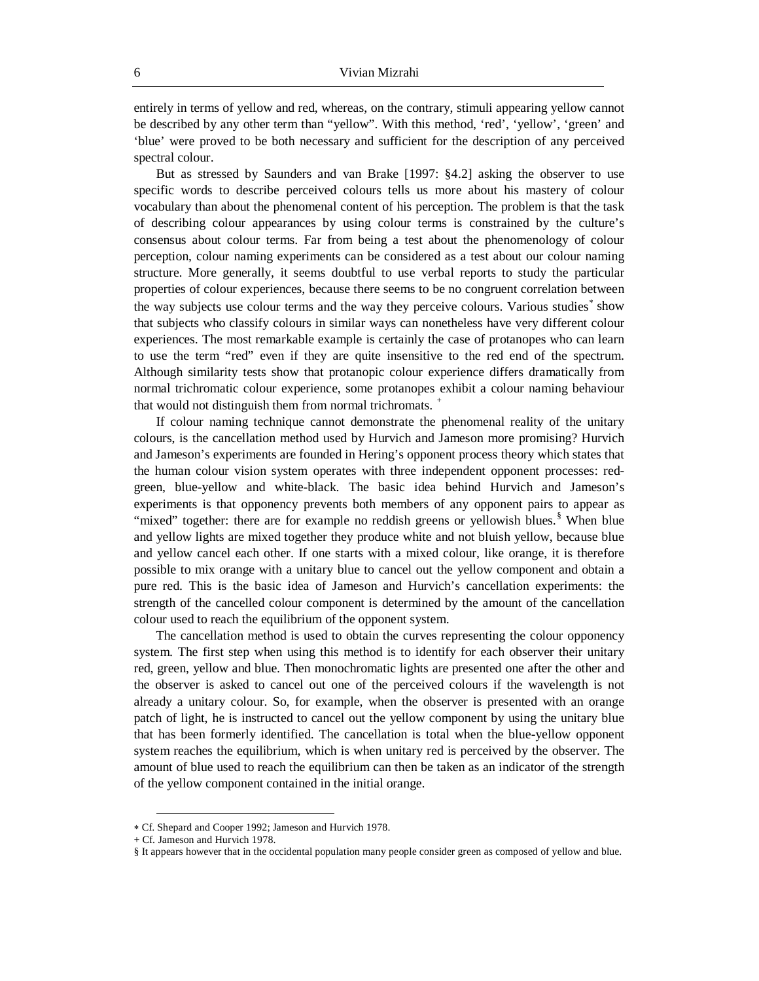entirely in terms of yellow and red, whereas, on the contrary, stimuli appearing yellow cannot be described by any other term than "yellow". With this method, 'red', 'yellow', 'green' and 'blue' were proved to be both necessary and sufficient for the description of any perceived spectral colour.

But as stressed by Saunders and van Brake [1997: §4.2] asking the observer to use specific words to describe perceived colours tells us more about his mastery of colour vocabulary than about the phenomenal content of his perception. The problem is that the task of describing colour appearances by using colour terms is constrained by the culture's consensus about colour terms. Far from being a test about the phenomenology of colour perception, colour naming experiments can be considered as a test about our colour naming structure. More generally, it seems doubtful to use verbal reports to study the particular properties of colour experiences, because there seems to be no congruent correlation between the way subjects use colour terms and the way they perceive colours. Various studies<sup>[∗](#page-4-1)</sup> show that subjects who classify colours in similar ways can nonetheless have very different colour experiences. The most remarkable example is certainly the case of protanopes who can learn to use the term "red" even if they are quite insensitive to the red end of the spectrum. Although similarity tests show that protanopic colour experience differs dramatically from normal trichromatic colour experience, some protanopes exhibit a colour naming behaviour that would not distinguish them from normal trichromats.  $+$ 

If colour naming technique cannot demonstrate the phenomenal reality of the unitary colours, is the cancellation method used by Hurvich and Jameson more promising? Hurvich and Jameson's experiments are founded in Hering's opponent process theory which states that the human colour vision system operates with three independent opponent processes: redgreen, blue-yellow and white-black. The basic idea behind Hurvich and Jameson's experiments is that opponency prevents both members of any opponent pairs to appear as "mixed" together: there are for example no reddish greens or yellowish blues.[§](#page-5-1) When blue and yellow lights are mixed together they produce white and not bluish yellow, because blue and yellow cancel each other. If one starts with a mixed colour, like orange, it is therefore possible to mix orange with a unitary blue to cancel out the yellow component and obtain a pure red. This is the basic idea of Jameson and Hurvich's cancellation experiments: the strength of the cancelled colour component is determined by the amount of the cancellation colour used to reach the equilibrium of the opponent system.

The cancellation method is used to obtain the curves representing the colour opponency system. The first step when using this method is to identify for each observer their unitary red, green, yellow and blue. Then monochromatic lights are presented one after the other and the observer is asked to cancel out one of the perceived colours if the wavelength is not already a unitary colour. So, for example, when the observer is presented with an orange patch of light, he is instructed to cancel out the yellow component by using the unitary blue that has been formerly identified. The cancellation is total when the blue-yellow opponent system reaches the equilibrium, which is when unitary red is perceived by the observer. The amount of blue used to reach the equilibrium can then be taken as an indicator of the strength of the yellow component contained in the initial orange.

<span id="page-5-2"></span><sup>∗</sup> Cf. Shepard and Cooper 1992; Jameson and Hurvich 1978.

<sup>+</sup> Cf. Jameson and Hurvich 1978.

<span id="page-5-1"></span><span id="page-5-0"></span><sup>§</sup> It appears however that in the occidental population many people consider green as composed of yellow and blue.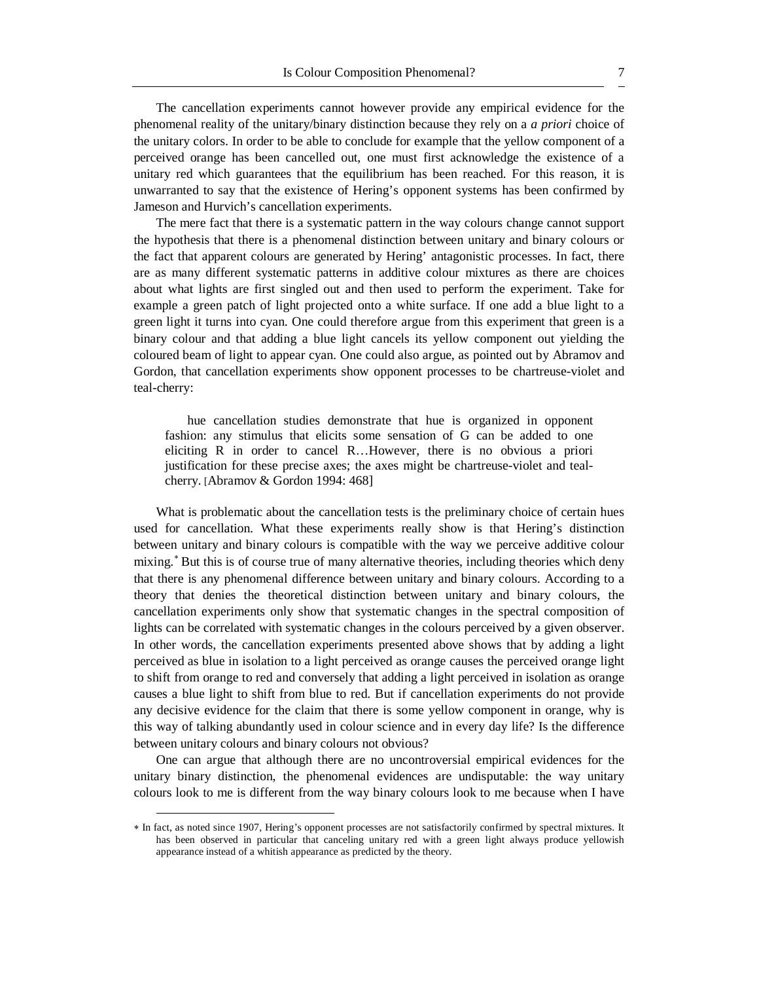The cancellation experiments cannot however provide any empirical evidence for the phenomenal reality of the unitary/binary distinction because they rely on a *a priori* choice of the unitary colors. In order to be able to conclude for example that the yellow component of a perceived orange has been cancelled out, one must first acknowledge the existence of a unitary red which guarantees that the equilibrium has been reached. For this reason, it is unwarranted to say that the existence of Hering's opponent systems has been confirmed by Jameson and Hurvich's cancellation experiments.

The mere fact that there is a systematic pattern in the way colours change cannot support the hypothesis that there is a phenomenal distinction between unitary and binary colours or the fact that apparent colours are generated by Hering' antagonistic processes. In fact, there are as many different systematic patterns in additive colour mixtures as there are choices about what lights are first singled out and then used to perform the experiment. Take for example a green patch of light projected onto a white surface. If one add a blue light to a green light it turns into cyan. One could therefore argue from this experiment that green is a binary colour and that adding a blue light cancels its yellow component out yielding the coloured beam of light to appear cyan. One could also argue, as pointed out by Abramov and Gordon, that cancellation experiments show opponent processes to be chartreuse-violet and teal-cherry:

hue cancellation studies demonstrate that hue is organized in opponent fashion: any stimulus that elicits some sensation of G can be added to one eliciting R in order to cancel R…However, there is no obvious a priori justification for these precise axes; the axes might be chartreuse-violet and tealcherry. [Abramov & Gordon 1994: 468]

What is problematic about the cancellation tests is the preliminary choice of certain hues used for cancellation. What these experiments really show is that Hering's distinction between unitary and binary colours is compatible with the way we perceive additive colour mixing.<sup>[∗](#page-5-2)</sup> But this is of course true of many alternative theories, including theories which deny that there is any phenomenal difference between unitary and binary colours. According to a theory that denies the theoretical distinction between unitary and binary colours, the cancellation experiments only show that systematic changes in the spectral composition of lights can be correlated with systematic changes in the colours perceived by a given observer. In other words, the cancellation experiments presented above shows that by adding a light perceived as blue in isolation to a light perceived as orange causes the perceived orange light to shift from orange to red and conversely that adding a light perceived in isolation as orange causes a blue light to shift from blue to red. But if cancellation experiments do not provide any decisive evidence for the claim that there is some yellow component in orange, why is this way of talking abundantly used in colour science and in every day life? Is the difference between unitary colours and binary colours not obvious?

One can argue that although there are no uncontroversial empirical evidences for the unitary binary distinction, the phenomenal evidences are undisputable: the way unitary colours look to me is different from the way binary colours look to me because when I have

<span id="page-6-0"></span><sup>∗</sup> In fact, as noted since 1907, Hering's opponent processes are not satisfactorily confirmed by spectral mixtures. It has been observed in particular that canceling unitary red with a green light always produce yellowish appearance instead of a whitish appearance as predicted by the theory.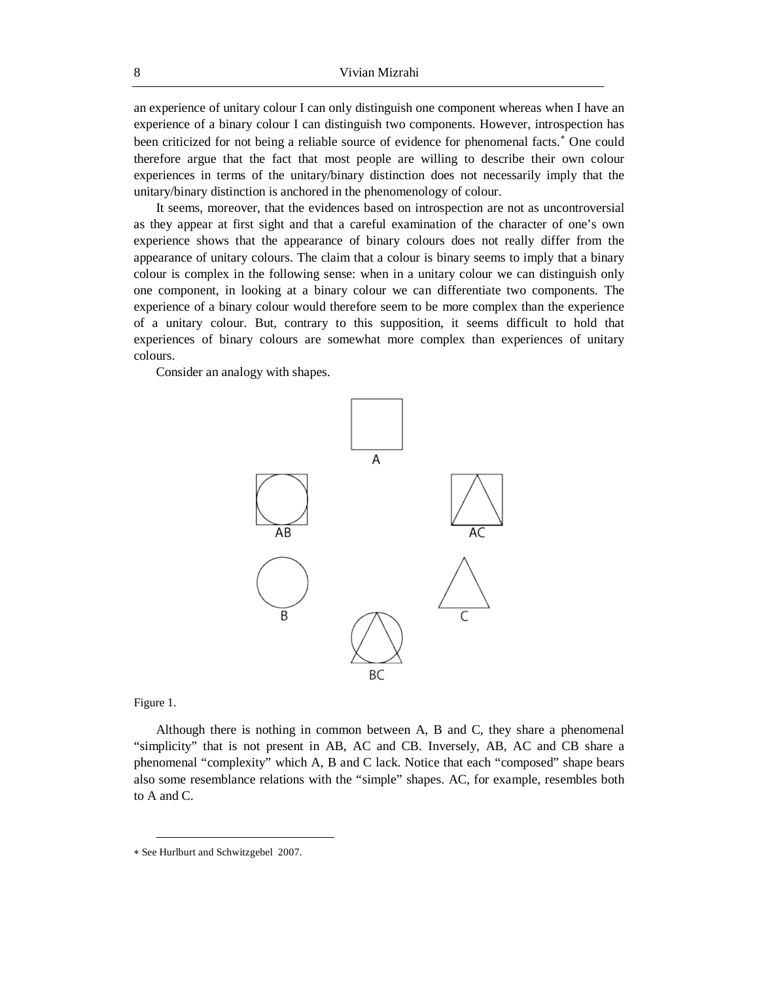an experience of unitary colour I can only distinguish one component whereas when I have an experience of a binary colour I can distinguish two components. However, introspection has been criticized for not being a reliable source of evidence for phenomenal facts.<sup>[∗](#page-6-0)</sup> One could therefore argue that the fact that most people are willing to describe their own colour experiences in terms of the unitary/binary distinction does not necessarily imply that the unitary/binary distinction is anchored in the phenomenology of colour.

It seems, moreover, that the evidences based on introspection are not as uncontroversial as they appear at first sight and that a careful examination of the character of one's own experience shows that the appearance of binary colours does not really differ from the appearance of unitary colours. The claim that a colour is binary seems to imply that a binary colour is complex in the following sense: when in a unitary colour we can distinguish only one component, in looking at a binary colour we can differentiate two components. The experience of a binary colour would therefore seem to be more complex than the experience of a unitary colour. But, contrary to this supposition, it seems difficult to hold that experiences of binary colours are somewhat more complex than experiences of unitary colours.

Consider an analogy with shapes.



Figure 1.

 $\overline{a}$ 

Although there is nothing in common between A, B and C, they share a phenomenal "simplicity" that is not present in AB, AC and CB. Inversely, AB, AC and CB share a phenomenal "complexity" which A, B and C lack. Notice that each "composed" shape bears also some resemblance relations with the "simple" shapes. AC, for example, resembles both to A and C.

<span id="page-7-0"></span><sup>∗</sup> See Hurlburt and Schwitzgebel 2007.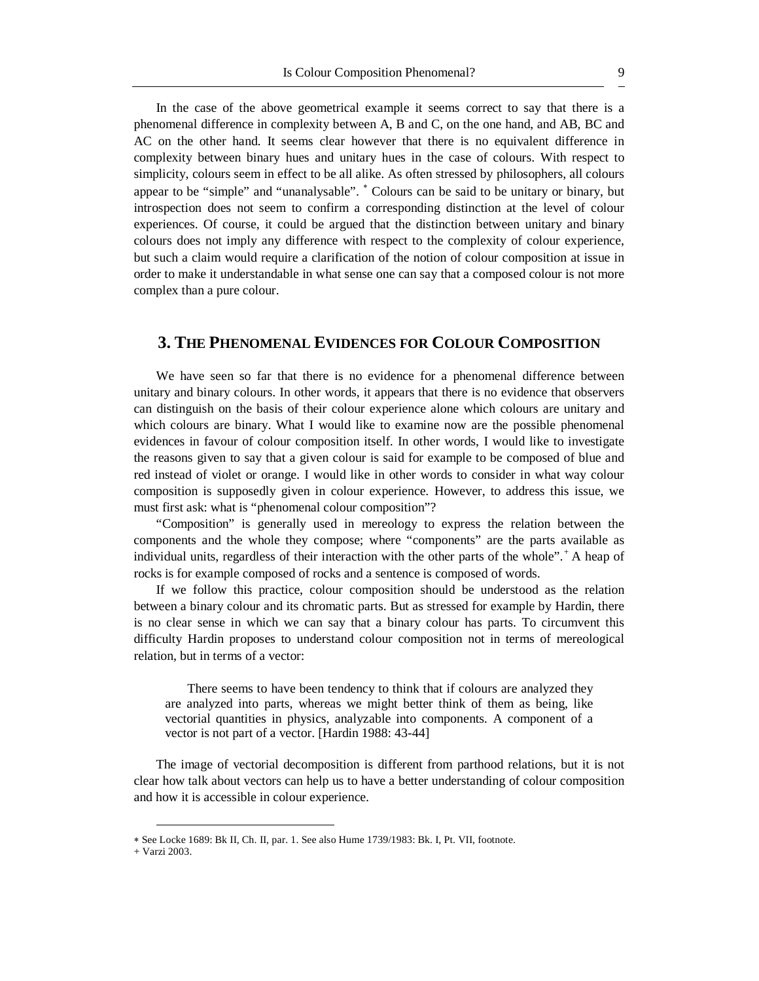In the case of the above geometrical example it seems correct to say that there is a phenomenal difference in complexity between A, B and C, on the one hand, and AB, BC and AC on the other hand. It seems clear however that there is no equivalent difference in complexity between binary hues and unitary hues in the case of colours. With respect to simplicity, colours seem in effect to be all alike. As often stressed by philosophers, all colours appear to be "simple" and "unanalysable". \* Colours can be said to be unitary or binary, but introspection does not seem to confirm a corresponding distinction at the level of colour experiences. Of course, it could be argued that the distinction between unitary and binary colours does not imply any difference with respect to the complexity of colour experience, but such a claim would require a clarification of the notion of colour composition at issue in order to make it understandable in what sense one can say that a composed colour is not more complex than a pure colour.

### **3. THE PHENOMENAL EVIDENCES FOR COLOUR COMPOSITION**

We have seen so far that there is no evidence for a phenomenal difference between unitary and binary colours. In other words, it appears that there is no evidence that observers can distinguish on the basis of their colour experience alone which colours are unitary and which colours are binary. What I would like to examine now are the possible phenomenal evidences in favour of colour composition itself. In other words, I would like to investigate the reasons given to say that a given colour is said for example to be composed of blue and red instead of violet or orange. I would like in other words to consider in what way colour composition is supposedly given in colour experience. However, to address this issue, we must first ask: what is "phenomenal colour composition"?

"Composition" is generally used in mereology to express the relation between the components and the whole they compose; where "components" are the parts available as individual units, regardless of their interaction with the other parts of the whole".<sup>[+](#page-8-0)</sup> A heap of rocks is for example composed of rocks and a sentence is composed of words.

If we follow this practice, colour composition should be understood as the relation between a binary colour and its chromatic parts. But as stressed for example by Hardin, there is no clear sense in which we can say that a binary colour has parts. To circumvent this difficulty Hardin proposes to understand colour composition not in terms of mereological relation, but in terms of a vector:

There seems to have been tendency to think that if colours are analyzed they are analyzed into parts, whereas we might better think of them as being, like vectorial quantities in physics, analyzable into components. A component of a vector is not part of a vector. [Hardin 1988: 43-44]

The image of vectorial decomposition is different from parthood relations, but it is not clear how talk about vectors can help us to have a better understanding of colour composition and how it is accessible in colour experience.

<sup>∗</sup> See Locke 1689: Bk II, Ch. II, par. 1. See also Hume 1739/1983: Bk. I, Pt. VII, footnote.

<span id="page-8-1"></span><span id="page-8-0"></span><sup>+</sup> Varzi 2003.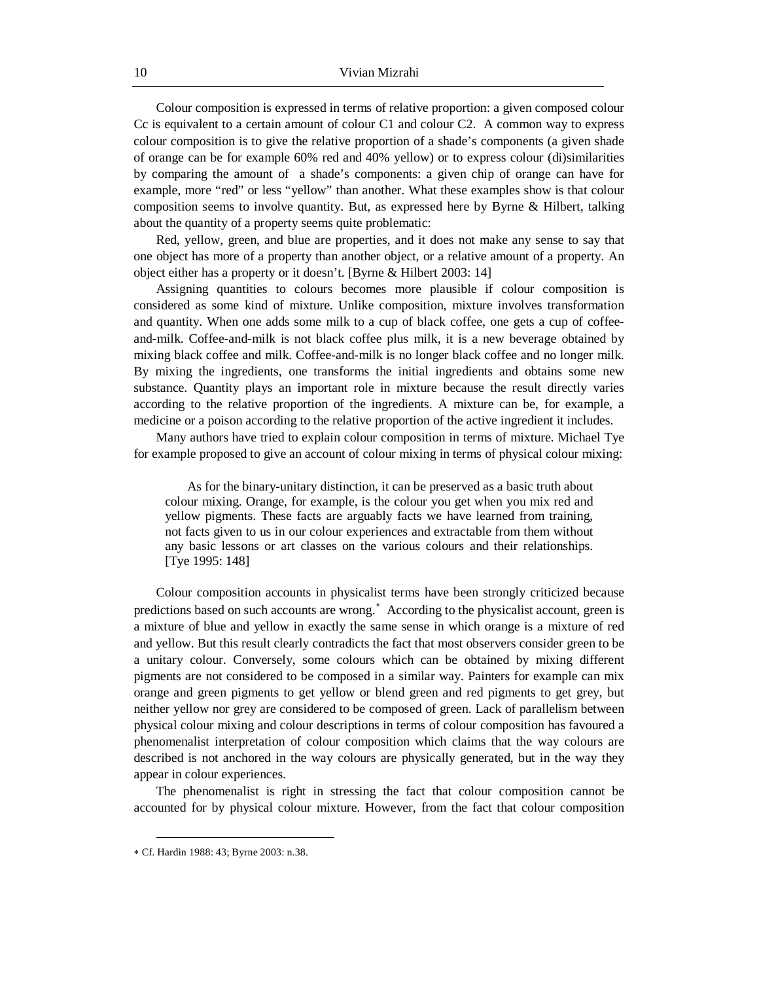Colour composition is expressed in terms of relative proportion: a given composed colour Cc is equivalent to a certain amount of colour C1 and colour C2. A common way to express colour composition is to give the relative proportion of a shade's components (a given shade of orange can be for example 60% red and 40% yellow) or to express colour (di)similarities by comparing the amount of a shade's components: a given chip of orange can have for example, more "red" or less "yellow" than another. What these examples show is that colour composition seems to involve quantity. But, as expressed here by Byrne & Hilbert, talking about the quantity of a property seems quite problematic:

Red, yellow, green, and blue are properties, and it does not make any sense to say that one object has more of a property than another object, or a relative amount of a property. An object either has a property or it doesn't. [Byrne & Hilbert 2003: 14]

Assigning quantities to colours becomes more plausible if colour composition is considered as some kind of mixture. Unlike composition, mixture involves transformation and quantity. When one adds some milk to a cup of black coffee, one gets a cup of coffeeand-milk. Coffee-and-milk is not black coffee plus milk, it is a new beverage obtained by mixing black coffee and milk. Coffee-and-milk is no longer black coffee and no longer milk. By mixing the ingredients, one transforms the initial ingredients and obtains some new substance. Quantity plays an important role in mixture because the result directly varies according to the relative proportion of the ingredients. A mixture can be, for example, a medicine or a poison according to the relative proportion of the active ingredient it includes.

Many authors have tried to explain colour composition in terms of mixture. Michael Tye for example proposed to give an account of colour mixing in terms of physical colour mixing:

As for the binary-unitary distinction, it can be preserved as a basic truth about colour mixing. Orange, for example, is the colour you get when you mix red and yellow pigments. These facts are arguably facts we have learned from training, not facts given to us in our colour experiences and extractable from them without any basic lessons or art classes on the various colours and their relationships. [Tye 1995: 148]

Colour composition accounts in physicalist terms have been strongly criticized because predictions based on such accounts are wrong.<sup>[∗](#page-8-1)</sup> According to the physicalist account, green is a mixture of blue and yellow in exactly the same sense in which orange is a mixture of red and yellow. But this result clearly contradicts the fact that most observers consider green to be a unitary colour. Conversely, some colours which can be obtained by mixing different pigments are not considered to be composed in a similar way. Painters for example can mix orange and green pigments to get yellow or blend green and red pigments to get grey, but neither yellow nor grey are considered to be composed of green. Lack of parallelism between physical colour mixing and colour descriptions in terms of colour composition has favoured a phenomenalist interpretation of colour composition which claims that the way colours are described is not anchored in the way colours are physically generated, but in the way they appear in colour experiences.

<span id="page-9-0"></span>The phenomenalist is right in stressing the fact that colour composition cannot be accounted for by physical colour mixture. However, from the fact that colour composition

<sup>∗</sup> Cf. Hardin 1988: 43; Byrne 2003: n.38.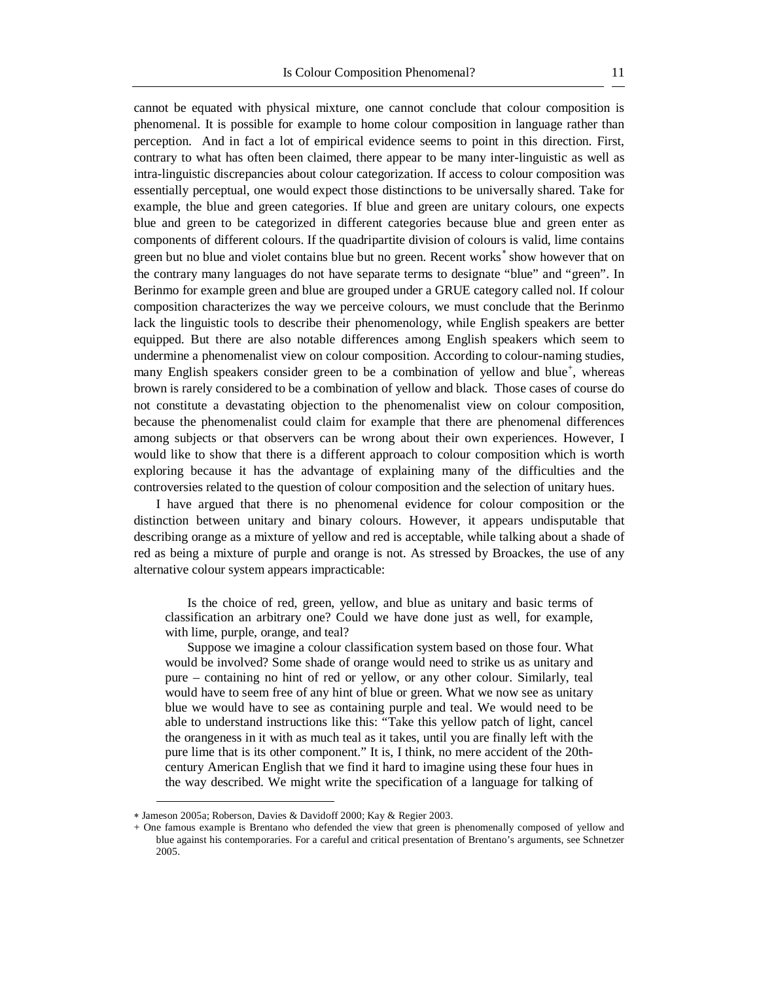cannot be equated with physical mixture, one cannot conclude that colour composition is phenomenal. It is possible for example to home colour composition in language rather than perception. And in fact a lot of empirical evidence seems to point in this direction. First, contrary to what has often been claimed, there appear to be many inter-linguistic as well as intra-linguistic discrepancies about colour categorization. If access to colour composition was essentially perceptual, one would expect those distinctions to be universally shared. Take for example, the blue and green categories. If blue and green are unitary colours, one expects blue and green to be categorized in different categories because blue and green enter as components of different colours. If the quadripartite division of colours is valid, lime contains green but no blue and violet contains blue but no green. Recent works<sup>[∗](#page-9-0)</sup> show however that on the contrary many languages do not have separate terms to designate "blue" and "green". In Berinmo for example green and blue are grouped under a GRUE category called nol. If colour composition characterizes the way we perceive colours, we must conclude that the Berinmo lack the linguistic tools to describe their phenomenology, while English speakers are better equipped. But there are also notable differences among English speakers which seem to undermine a phenomenalist view on colour composition. According to colour-naming studies, many English speakers consider green to be a combination of yellow and blue<sup>[+](#page-10-0)</sup>, whereas brown is rarely considered to be a combination of yellow and black. Those cases of course do not constitute a devastating objection to the phenomenalist view on colour composition, because the phenomenalist could claim for example that there are phenomenal differences among subjects or that observers can be wrong about their own experiences. However, I would like to show that there is a different approach to colour composition which is worth exploring because it has the advantage of explaining many of the difficulties and the controversies related to the question of colour composition and the selection of unitary hues.

I have argued that there is no phenomenal evidence for colour composition or the distinction between unitary and binary colours. However, it appears undisputable that describing orange as a mixture of yellow and red is acceptable, while talking about a shade of red as being a mixture of purple and orange is not. As stressed by Broackes, the use of any alternative colour system appears impracticable:

Is the choice of red, green, yellow, and blue as unitary and basic terms of classification an arbitrary one? Could we have done just as well, for example, with lime, purple, orange, and teal?

Suppose we imagine a colour classification system based on those four. What would be involved? Some shade of orange would need to strike us as unitary and pure – containing no hint of red or yellow, or any other colour. Similarly, teal would have to seem free of any hint of blue or green. What we now see as unitary blue we would have to see as containing purple and teal. We would need to be able to understand instructions like this: "Take this yellow patch of light, cancel the orangeness in it with as much teal as it takes, until you are finally left with the pure lime that is its other component." It is, I think, no mere accident of the 20thcentury American English that we find it hard to imagine using these four hues in the way described. We might write the specification of a language for talking of

<span id="page-10-1"></span><sup>∗</sup> Jameson 2005a; Roberson, Davies & Davidoff 2000; Kay & Regier 2003.

<span id="page-10-0"></span><sup>+</sup> One famous example is Brentano who defended the view that green is phenomenally composed of yellow and blue against his contemporaries. For a careful and critical presentation of Brentano's arguments, see Schnetzer 2005.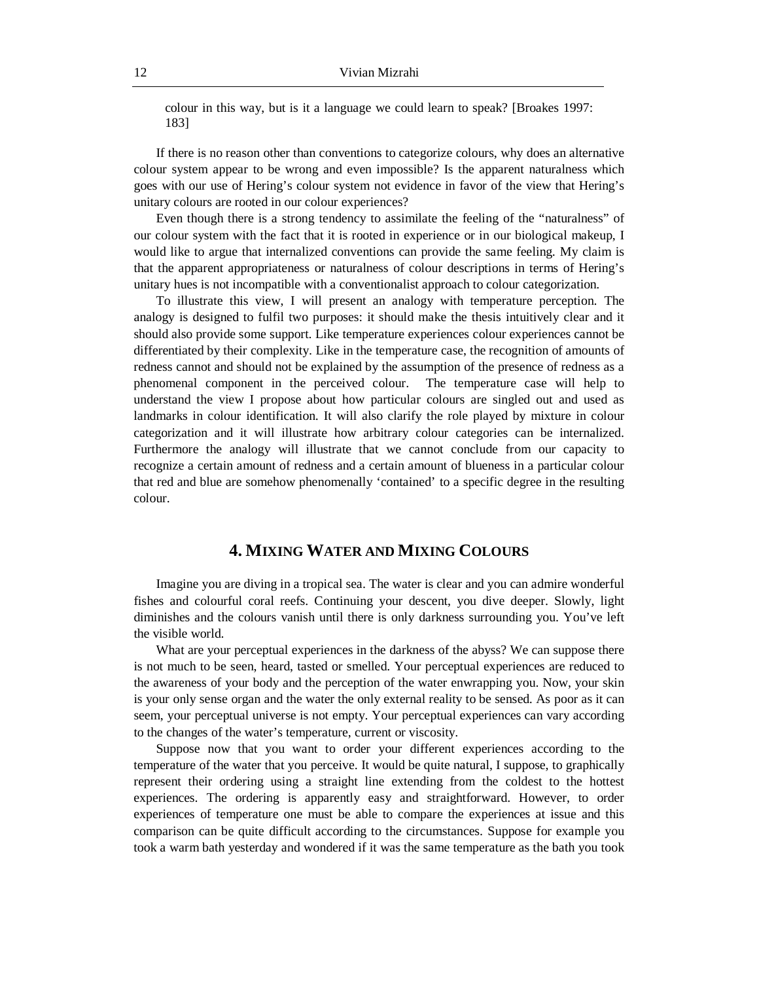colour in this way, but is it a language we could learn to speak? [Broakes 1997: 183]

If there is no reason other than conventions to categorize colours, why does an alternative colour system appear to be wrong and even impossible? Is the apparent naturalness which goes with our use of Hering's colour system not evidence in favor of the view that Hering's unitary colours are rooted in our colour experiences?

Even though there is a strong tendency to assimilate the feeling of the "naturalness" of our colour system with the fact that it is rooted in experience or in our biological makeup, I would like to argue that internalized conventions can provide the same feeling. My claim is that the apparent appropriateness or naturalness of colour descriptions in terms of Hering's unitary hues is not incompatible with a conventionalist approach to colour categorization.

To illustrate this view, I will present an analogy with temperature perception. The analogy is designed to fulfil two purposes: it should make the thesis intuitively clear and it should also provide some support. Like temperature experiences colour experiences cannot be differentiated by their complexity. Like in the temperature case, the recognition of amounts of redness cannot and should not be explained by the assumption of the presence of redness as a phenomenal component in the perceived colour. The temperature case will help to understand the view I propose about how particular colours are singled out and used as landmarks in colour identification. It will also clarify the role played by mixture in colour categorization and it will illustrate how arbitrary colour categories can be internalized. Furthermore the analogy will illustrate that we cannot conclude from our capacity to recognize a certain amount of redness and a certain amount of blueness in a particular colour that red and blue are somehow phenomenally 'contained' to a specific degree in the resulting colour.

### **4. MIXING WATER AND MIXING COLOURS**

Imagine you are diving in a tropical sea. The water is clear and you can admire wonderful fishes and colourful coral reefs. Continuing your descent, you dive deeper. Slowly, light diminishes and the colours vanish until there is only darkness surrounding you. You've left the visible world.

What are your perceptual experiences in the darkness of the abyss? We can suppose there is not much to be seen, heard, tasted or smelled. Your perceptual experiences are reduced to the awareness of your body and the perception of the water enwrapping you. Now, your skin is your only sense organ and the water the only external reality to be sensed. As poor as it can seem, your perceptual universe is not empty. Your perceptual experiences can vary according to the changes of the water's temperature, current or viscosity.

Suppose now that you want to order your different experiences according to the temperature of the water that you perceive. It would be quite natural, I suppose, to graphically represent their ordering using a straight line extending from the coldest to the hottest experiences. The ordering is apparently easy and straightforward. However, to order experiences of temperature one must be able to compare the experiences at issue and this comparison can be quite difficult according to the circumstances. Suppose for example you took a warm bath yesterday and wondered if it was the same temperature as the bath you took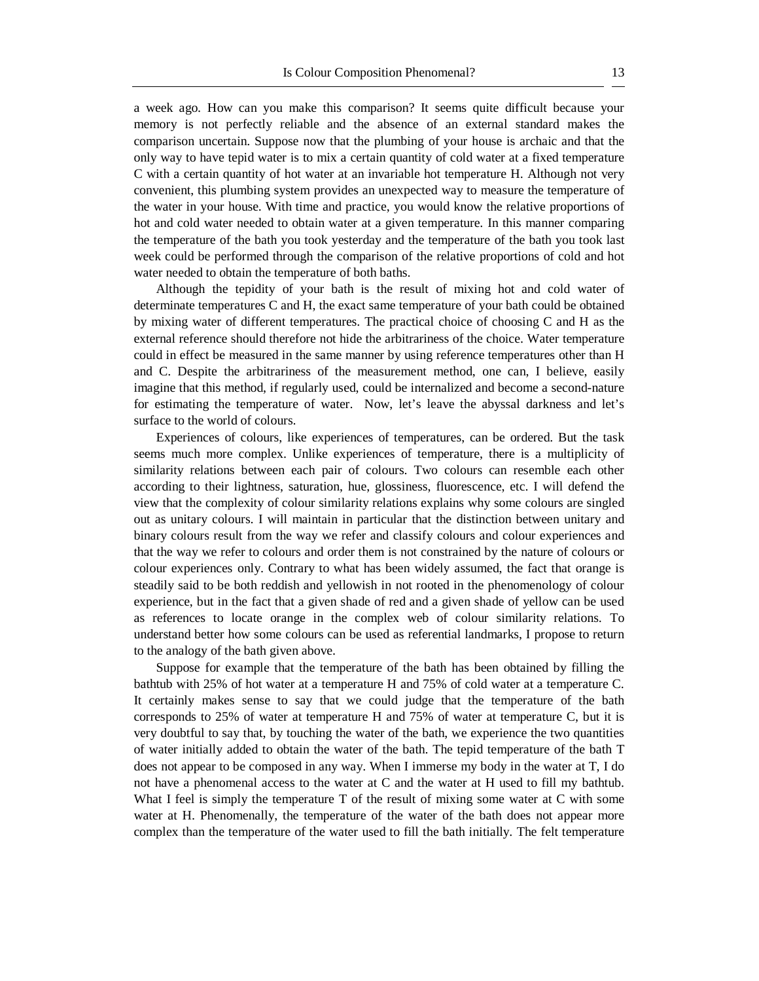a week ago. How can you make this comparison? It seems quite difficult because your memory is not perfectly reliable and the absence of an external standard makes the comparison uncertain. Suppose now that the plumbing of your house is archaic and that the only way to have tepid water is to mix a certain quantity of cold water at a fixed temperature C with a certain quantity of hot water at an invariable hot temperature H. Although not very convenient, this plumbing system provides an unexpected way to measure the temperature of the water in your house. With time and practice, you would know the relative proportions of hot and cold water needed to obtain water at a given temperature. In this manner comparing the temperature of the bath you took yesterday and the temperature of the bath you took last week could be performed through the comparison of the relative proportions of cold and hot water needed to obtain the temperature of both baths.

Although the tepidity of your bath is the result of mixing hot and cold water of determinate temperatures C and H, the exact same temperature of your bath could be obtained by mixing water of different temperatures. The practical choice of choosing C and H as the external reference should therefore not hide the arbitrariness of the choice. Water temperature could in effect be measured in the same manner by using reference temperatures other than H and C. Despite the arbitrariness of the measurement method, one can, I believe, easily imagine that this method, if regularly used, could be internalized and become a second-nature for estimating the temperature of water. Now, let's leave the abyssal darkness and let's surface to the world of colours.

Experiences of colours, like experiences of temperatures, can be ordered. But the task seems much more complex. Unlike experiences of temperature, there is a multiplicity of similarity relations between each pair of colours. Two colours can resemble each other according to their lightness, saturation, hue, glossiness, fluorescence, etc. I will defend the view that the complexity of colour similarity relations explains why some colours are singled out as unitary colours. I will maintain in particular that the distinction between unitary and binary colours result from the way we refer and classify colours and colour experiences and that the way we refer to colours and order them is not constrained by the nature of colours or colour experiences only. Contrary to what has been widely assumed, the fact that orange is steadily said to be both reddish and yellowish in not rooted in the phenomenology of colour experience, but in the fact that a given shade of red and a given shade of yellow can be used as references to locate orange in the complex web of colour similarity relations. To understand better how some colours can be used as referential landmarks, I propose to return to the analogy of the bath given above.

Suppose for example that the temperature of the bath has been obtained by filling the bathtub with 25% of hot water at a temperature H and 75% of cold water at a temperature C. It certainly makes sense to say that we could judge that the temperature of the bath corresponds to 25% of water at temperature H and 75% of water at temperature C, but it is very doubtful to say that, by touching the water of the bath, we experience the two quantities of water initially added to obtain the water of the bath. The tepid temperature of the bath T does not appear to be composed in any way. When I immerse my body in the water at T, I do not have a phenomenal access to the water at C and the water at H used to fill my bathtub. What I feel is simply the temperature T of the result of mixing some water at C with some water at H. Phenomenally, the temperature of the water of the bath does not appear more complex than the temperature of the water used to fill the bath initially. The felt temperature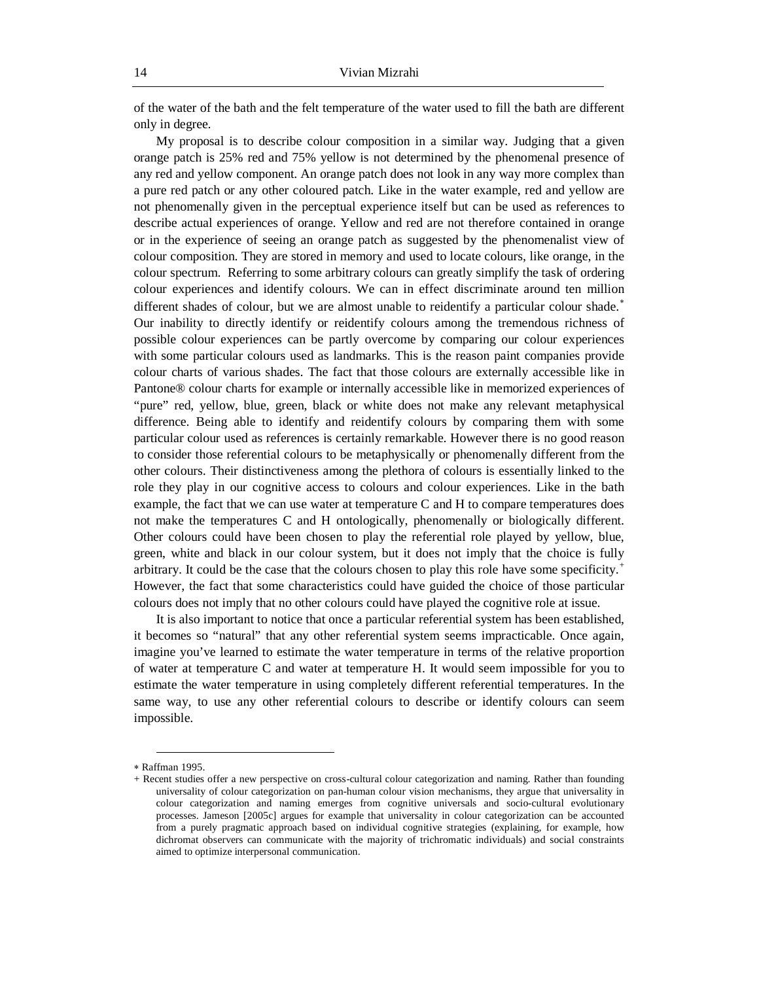of the water of the bath and the felt temperature of the water used to fill the bath are different only in degree.

My proposal is to describe colour composition in a similar way. Judging that a given orange patch is 25% red and 75% yellow is not determined by the phenomenal presence of any red and yellow component. An orange patch does not look in any way more complex than a pure red patch or any other coloured patch. Like in the water example, red and yellow are not phenomenally given in the perceptual experience itself but can be used as references to describe actual experiences of orange. Yellow and red are not therefore contained in orange or in the experience of seeing an orange patch as suggested by the phenomenalist view of colour composition. They are stored in memory and used to locate colours, like orange, in the colour spectrum. Referring to some arbitrary colours can greatly simplify the task of ordering colour experiences and identify colours. We can in effect discriminate around ten million different shades of colour, but we are almost unable to reidentify a particular colour shade.<sup>[∗](#page-10-1)</sup> Our inability to directly identify or reidentify colours among the tremendous richness of possible colour experiences can be partly overcome by comparing our colour experiences with some particular colours used as landmarks. This is the reason paint companies provide colour charts of various shades. The fact that those colours are externally accessible like in Pantone® colour charts for example or internally accessible like in memorized experiences of "pure" red, yellow, blue, green, black or white does not make any relevant metaphysical difference. Being able to identify and reidentify colours by comparing them with some particular colour used as references is certainly remarkable. However there is no good reason to consider those referential colours to be metaphysically or phenomenally different from the other colours. Their distinctiveness among the plethora of colours is essentially linked to the role they play in our cognitive access to colours and colour experiences. Like in the bath example, the fact that we can use water at temperature C and H to compare temperatures does not make the temperatures C and H ontologically, phenomenally or biologically different. Other colours could have been chosen to play the referential role played by yellow, blue, green, white and black in our colour system, but it does not imply that the choice is fully arbitrary. It could be the case that the colours chosen to play this role have some specificity.<sup> $+$ </sup> However, the fact that some characteristics could have guided the choice of those particular colours does not imply that no other colours could have played the cognitive role at issue.

It is also important to notice that once a particular referential system has been established, it becomes so "natural" that any other referential system seems impracticable. Once again, imagine you've learned to estimate the water temperature in terms of the relative proportion of water at temperature C and water at temperature H. It would seem impossible for you to estimate the water temperature in using completely different referential temperatures. In the same way, to use any other referential colours to describe or identify colours can seem impossible.

<sup>∗</sup> Raffman 1995.

<span id="page-13-1"></span><span id="page-13-0"></span><sup>+</sup> Recent studies offer a new perspective on cross-cultural colour categorization and naming. Rather than founding universality of colour categorization on pan-human colour vision mechanisms, they argue that universality in colour categorization and naming emerges from cognitive universals and socio-cultural evolutionary processes. Jameson [2005c] argues for example that universality in colour categorization can be accounted from a purely pragmatic approach based on individual cognitive strategies (explaining, for example, how dichromat observers can communicate with the majority of trichromatic individuals) and social constraints aimed to optimize interpersonal communication.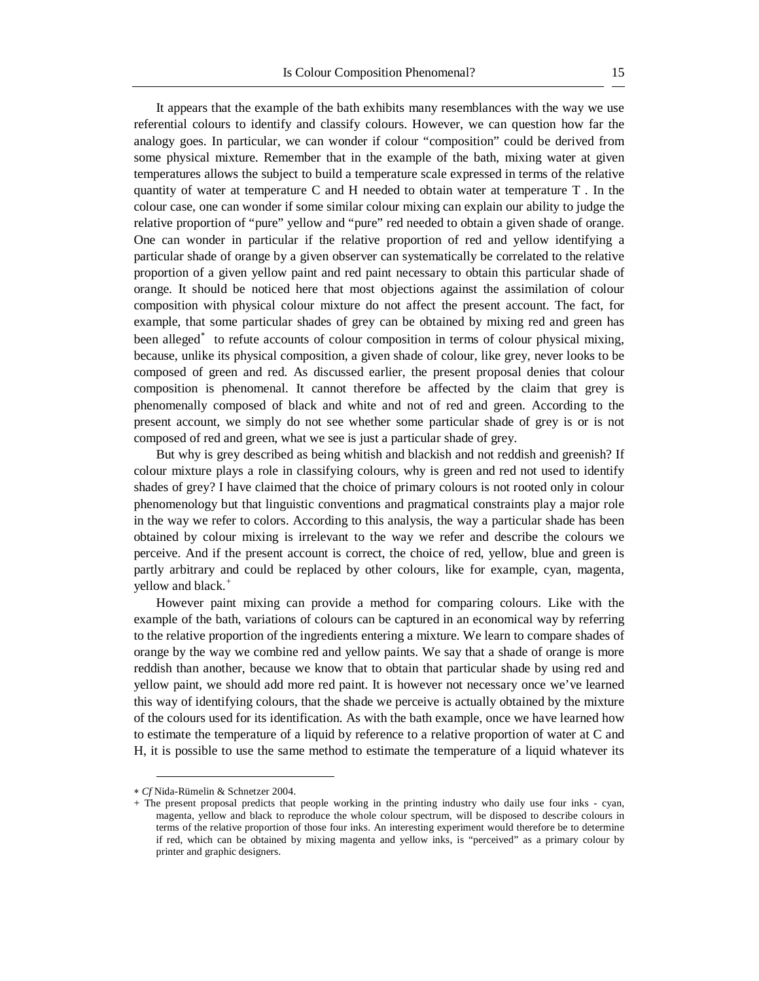It appears that the example of the bath exhibits many resemblances with the way we use referential colours to identify and classify colours. However, we can question how far the analogy goes. In particular, we can wonder if colour "composition" could be derived from some physical mixture. Remember that in the example of the bath, mixing water at given temperatures allows the subject to build a temperature scale expressed in terms of the relative quantity of water at temperature C and H needed to obtain water at temperature T . In the colour case, one can wonder if some similar colour mixing can explain our ability to judge the relative proportion of "pure" yellow and "pure" red needed to obtain a given shade of orange. One can wonder in particular if the relative proportion of red and yellow identifying a particular shade of orange by a given observer can systematically be correlated to the relative proportion of a given yellow paint and red paint necessary to obtain this particular shade of orange. It should be noticed here that most objections against the assimilation of colour composition with physical colour mixture do not affect the present account. The fact, for example, that some particular shades of grey can be obtained by mixing red and green has been alleged<sup>[∗](#page-13-1)</sup> to refute accounts of colour composition in terms of colour physical mixing, because, unlike its physical composition, a given shade of colour, like grey, never looks to be composed of green and red. As discussed earlier, the present proposal denies that colour composition is phenomenal. It cannot therefore be affected by the claim that grey is phenomenally composed of black and white and not of red and green. According to the present account, we simply do not see whether some particular shade of grey is or is not composed of red and green, what we see is just a particular shade of grey.

But why is grey described as being whitish and blackish and not reddish and greenish? If colour mixture plays a role in classifying colours, why is green and red not used to identify shades of grey? I have claimed that the choice of primary colours is not rooted only in colour phenomenology but that linguistic conventions and pragmatical constraints play a major role in the way we refer to colors. According to this analysis, the way a particular shade has been obtained by colour mixing is irrelevant to the way we refer and describe the colours we perceive. And if the present account is correct, the choice of red, yellow, blue and green is partly arbitrary and could be replaced by other colours, like for example, cyan, magenta, yellow and black.<sup>[+](#page-14-0)</sup>

However paint mixing can provide a method for comparing colours. Like with the example of the bath, variations of colours can be captured in an economical way by referring to the relative proportion of the ingredients entering a mixture. We learn to compare shades of orange by the way we combine red and yellow paints. We say that a shade of orange is more reddish than another, because we know that to obtain that particular shade by using red and yellow paint, we should add more red paint. It is however not necessary once we've learned this way of identifying colours, that the shade we perceive is actually obtained by the mixture of the colours used for its identification. As with the bath example, once we have learned how to estimate the temperature of a liquid by reference to a relative proportion of water at C and H, it is possible to use the same method to estimate the temperature of a liquid whatever its

<span id="page-14-0"></span><sup>∗</sup> *Cf* Nida-Rümelin & Schnetzer 2004.

<span id="page-14-1"></span><sup>+</sup> The present proposal predicts that people working in the printing industry who daily use four inks - cyan, magenta, yellow and black to reproduce the whole colour spectrum, will be disposed to describe colours in terms of the relative proportion of those four inks. An interesting experiment would therefore be to determine if red, which can be obtained by mixing magenta and yellow inks, is "perceived" as a primary colour by printer and graphic designers.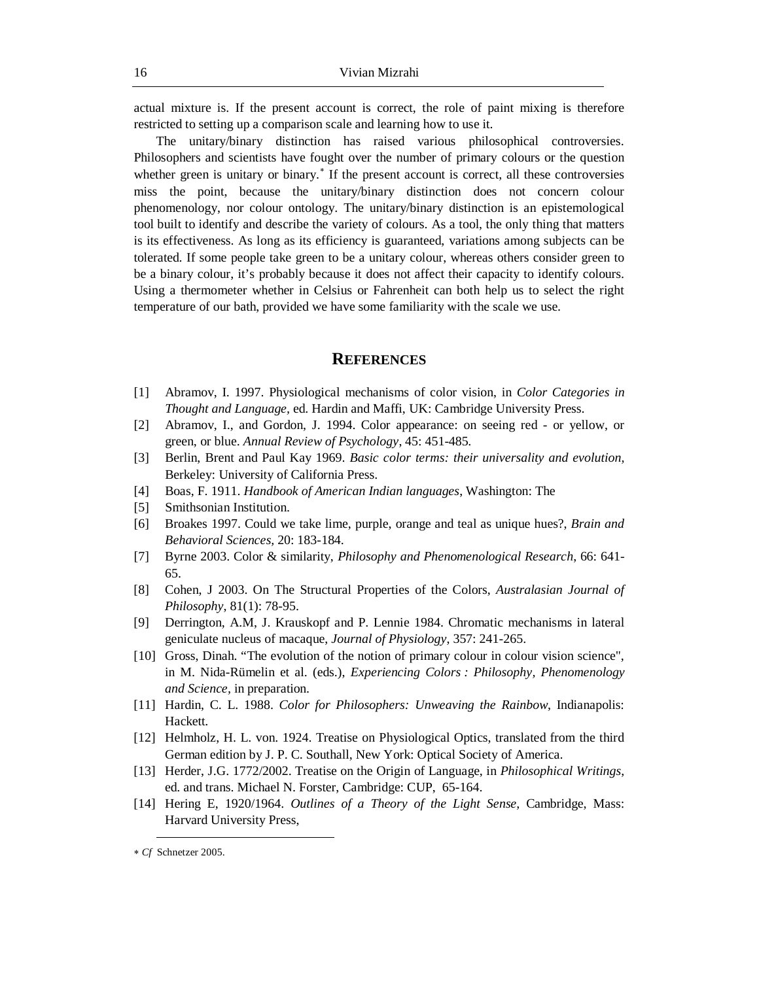actual mixture is. If the present account is correct, the role of paint mixing is therefore restricted to setting up a comparison scale and learning how to use it.

The unitary/binary distinction has raised various philosophical controversies. Philosophers and scientists have fought over the number of primary colours or the question whether green is unitary or binary.<sup>[∗](#page-14-1)</sup> If the present account is correct, all these controversies miss the point, because the unitary/binary distinction does not concern colour phenomenology, nor colour ontology. The unitary/binary distinction is an epistemological tool built to identify and describe the variety of colours. As a tool, the only thing that matters is its effectiveness. As long as its efficiency is guaranteed, variations among subjects can be tolerated. If some people take green to be a unitary colour, whereas others consider green to be a binary colour, it's probably because it does not affect their capacity to identify colours. Using a thermometer whether in Celsius or Fahrenheit can both help us to select the right temperature of our bath, provided we have some familiarity with the scale we use.

#### **REFERENCES**

- [1] Abramov, I. 1997. Physiological mechanisms of color vision, in *Color Categories in Thought and Language,* ed. Hardin and Maffi, UK: Cambridge University Press.
- [2] Abramov, I., and Gordon, J. 1994. Color appearance: on seeing red or yellow, or green, or blue. *Annual Review of Psychology*, 45: 451-485.
- [3] Berlin, Brent and Paul Kay 1969. *Basic color terms: their universality and evolution,* Berkeley: University of California Press.
- [4] Boas, F. 1911. *Handbook of American Indian languages*, Washington: The
- [5] Smithsonian Institution.
- [6] Broakes 1997. Could we take lime, purple, orange and teal as unique hues?, *Brain and Behavioral Sciences,* 20: 183-184.
- [7] Byrne 2003. Color & similarity, *Philosophy and Phenomenological Research*, 66: 641- 65.
- [8] Cohen, J 2003. [On The Structural Properties of the Colors,](http://aardvark.ucsd.edu/~joncohen/color/longstructure.pdf) *Australasian Journal of Philosophy*, 81(1): 78-95.
- [9] Derrington, A.M, J. Krauskopf and P. Lennie 1984. Chromatic mechanisms in lateral geniculate nucleus of macaque, *Journal of Physiology*, 357: 241-265.
- [10] Gross, Dinah. "The evolution of the notion of primary colour in colour vision science", in M. Nida-Rümelin et al. (eds.), *Experiencing Colors : Philosophy, Phenomenology and Science,* in preparation.
- [11] Hardin, C. L. 1988. *Color for Philosophers: Unweaving the Rainbow*, Indianapolis: Hackett.
- [12] Helmholz, H. L. von. 1924. Treatise on Physiological Optics, translated from the third German edition by J. P. C. Southall, New York: Optical Society of America.
- [13] Herder, J.G. 1772/2002. Treatise on the Origin of Language, in *Philosophical Writings*, ed. and trans. Michael N. Forster, Cambridge: CUP, 65-164.
- [14] Hering E, 1920/1964. *Outlines of a Theory of the Light Sense,* Cambridge, Mass: Harvard University Press,

<sup>∗</sup> *Cf* Schnetzer 2005.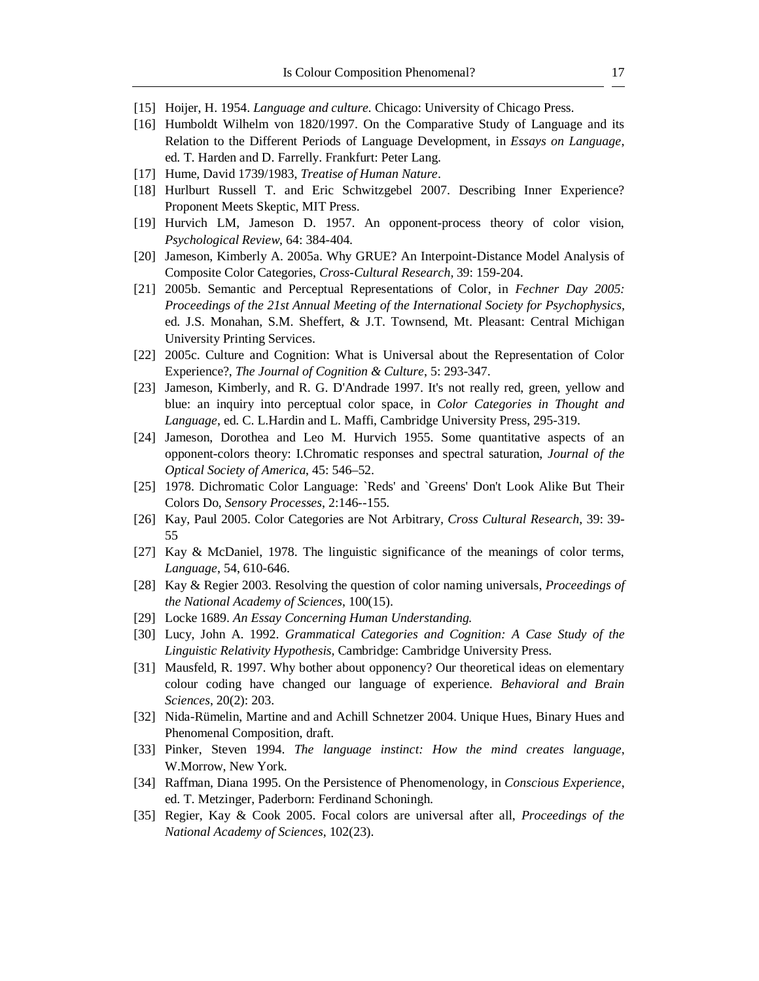- [15] Hoijer, H. 1954. *Language and culture.* Chicago: University of Chicago Press.
- [16] Humboldt Wilhelm von 1820/1997. On the Comparative Study of Language and its Relation to the Different Periods of Language Development, in *Essays on Language*, ed. T. Harden and D. Farrelly. Frankfurt: Peter Lang.
- [17] Hume, David 1739/1983, *Treatise of Human Nature*.
- [18] Hurlburt Russell T. and Eric Schwitzgebel 2007. Describing Inner Experience? Proponent Meets Skeptic, MIT Press.
- [19] Hurvich LM, Jameson D. 1957. An opponent-process theory of color vision, *Psychological Review*, 64: 384-404.
- [20] Jameson, Kimberly A. 2005a. Why GRUE? An Interpoint-Distance Model Analysis of Composite Color Categories, *Cross-Cultural Research,* 39: 159-204.
- [21] 2005b. Semantic and Perceptual Representations of Color, in *Fechner Day 2005: Proceedings of the 21st Annual Meeting of the International Society for Psychophysics,*  ed. J.S. Monahan, S.M. Sheffert, & J.T. Townsend, Mt. Pleasant: Central Michigan University Printing Services.
- [22] 2005c. Culture and Cognition: What is Universal about the Representation of Color Experience?, *The Journal of Cognition & Culture*, 5: 293-347.
- [23] Jameson, Kimberly, and R. G. D'Andrade 1997. It's not really red, green, yellow and blue: an inquiry into perceptual color space, in *Color Categories in Thought and Language*, ed. C. L.Hardin and L. Maffi, Cambridge University Press, 295-319.
- [24] Jameson, Dorothea and Leo M. Hurvich 1955. Some quantitative aspects of an opponent-colors theory: I.Chromatic responses and spectral saturation, *Journal of the Optical Society of America*, 45: 546–52.
- [25] 1978. Dichromatic Color Language: `Reds' and `Greens' Don't Look Alike But Their Colors Do, *Sensory Processes*, 2:146--155.
- [26] Kay, Paul 2005. [Color Categories are Not Arbitrary](http://www.icsi.berkeley.edu/~kay/colcats-not-arbit.pdf)*, Cross Cultural Research*, 39: 39- 55
- [27] Kay & McDaniel, 1978. The linguistic significance of the meanings of color terms, *Language*, 54, 610-646.
- [28] Kay & Regier 2003. Resolving the question of color naming universals, *Proceedings of the National Academy of Sciences*, 100(15).
- [29] Locke 1689. *An Essay Concerning Human Understanding.*
- [30] Lucy, John A. 1992. *Grammatical Categories and Cognition: A Case Study of the Linguistic Relativity Hypothesis,* Cambridge: Cambridge University Press.
- [31] Mausfeld, R. 1997. Why bother about opponency? Our theoretical ideas on elementary colour coding have changed our language of experience. *Behavioral and Brain Sciences*, 20(2): 203.
- [32] Nida-Rümelin, Martine and and Achill Schnetzer 2004. Unique Hues, Binary Hues and Phenomenal Composition, draft.
- [33] Pinker, Steven 1994. *The language instinct: How the mind creates language*, W.Morrow, New York.
- [34] Raffman, Diana 1995. On the Persistence of Phenomenology, in *Conscious Experience*, ed. T. Metzinger, Paderborn: Ferdinand Schoningh.
- [35] Regier, Kay & Cook 2005. Focal colors are universal after all, *Proceedings of the National Academy of Sciences*, 102(23).